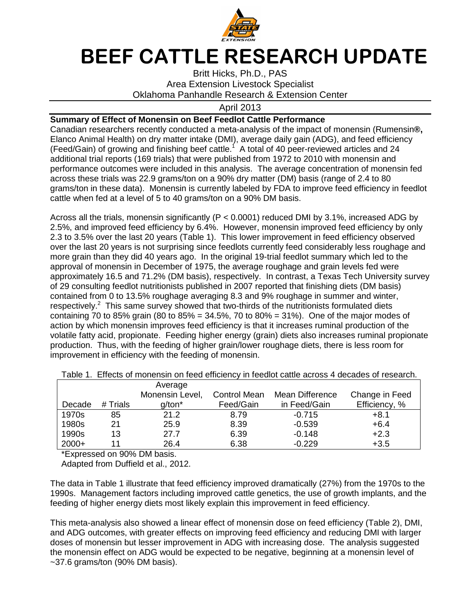

## **BEEF CATTLE RESEARCH UPDATE**

Britt Hicks, Ph.D., PAS Area Extension Livestock Specialist Oklahoma Panhandle Research & Extension Center

April 2013

## **Summary of Effect of Monensin on Beef Feedlot Cattle Performance**

Canadian researchers recently conducted a meta-analysis of the impact of monensin (Rumensin**®,**  Elanco Animal Health) on dry matter intake (DMI), average daily gain (ADG), and feed efficiency (Feed/Gain) of growing and finishing beef cattle.<sup>1</sup> A total of 40 peer-reviewed articles and 24 additional trial reports (169 trials) that were published from 1972 to 2010 with monensin and performance outcomes were included in this analysis. The average concentration of monensin fed across these trials was 22.9 grams/ton on a 90% dry matter (DM) basis (range of 2.4 to 80 grams/ton in these data). Monensin is currently labeled by FDA to improve feed efficiency in feedlot cattle when fed at a level of 5 to 40 grams/ton on a 90% DM basis.

Across all the trials, monensin significantly (P < 0.0001) reduced DMI by 3.1%, increased ADG by 2.5%, and improved feed efficiency by 6.4%. However, monensin improved feed efficiency by only 2.3 to 3.5% over the last 20 years (Table 1). This lower improvement in feed efficiency observed over the last 20 years is not surprising since feedlots currently feed considerably less roughage and more grain than they did 40 years ago. In the original 19-trial feedlot summary which led to the approval of monensin in December of 1975, the average roughage and grain levels fed were approximately 16.5 and 71.2% (DM basis), respectively. In contrast, a Texas Tech University survey of 29 consulting feedlot nutritionists published in 2007 reported that finishing diets (DM basis) contained from 0 to 13.5% roughage averaging 8.3 and 9% roughage in summer and winter, respectively.<sup>2</sup> This same survey showed that two-thirds of the nutritionists formulated diets containing 70 to 85% grain (80 to 85% = 34.5%, 70 to 80% = 31%). One of the major modes of action by which monensin improves feed efficiency is that it increases ruminal production of the volatile fatty acid, propionate. Feeding higher energy (grain) diets also increases ruminal propionate production. Thus, with the feeding of higher grain/lower roughage diets, there is less room for improvement in efficiency with the feeding of monensin.

|         |          | Average         |              |                 |                |  |
|---------|----------|-----------------|--------------|-----------------|----------------|--|
|         |          | Monensin Level, | Control Mean | Mean Difference | Change in Feed |  |
| Decade  | # Trials | g/ton*          | Feed/Gain    | in Feed/Gain    | Efficiency, %  |  |
| 1970s   | 85       | 21.2            | 8.79         | $-0.715$        | $+8.1$         |  |
| 1980s   | 21       | 25.9            | 8.39         | $-0.539$        | $+6.4$         |  |
| 1990s   | 13       | 27.7            | 6.39         | $-0.148$        | $+2.3$         |  |
| $2000+$ | 11       | 26.4            | 6.38         | $-0.229$        | $+3.5$         |  |

Table 1. Effects of monensin on feed efficiency in feedlot cattle across 4 decades of research.

\*Expressed on 90% DM basis.

Adapted from Duffield et al., 2012.

The data in Table 1 illustrate that feed efficiency improved dramatically (27%) from the 1970s to the 1990s. Management factors including improved cattle genetics, the use of growth implants, and the feeding of higher energy diets most likely explain this improvement in feed efficiency.

This meta-analysis also showed a linear effect of monensin dose on feed efficiency (Table 2), DMI, and ADG outcomes, with greater effects on improving feed efficiency and reducing DMI with larger doses of monensin but lesser improvement in ADG with increasing dose. The analysis suggested the monensin effect on ADG would be expected to be negative, beginning at a monensin level of  $\sim$ 37.6 grams/ton (90% DM basis).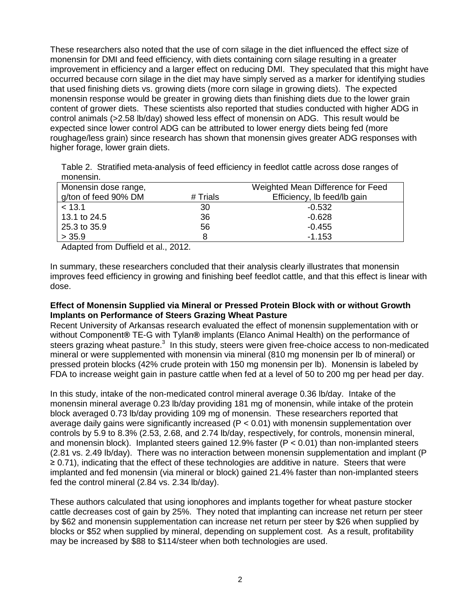These researchers also noted that the use of corn silage in the diet influenced the effect size of monensin for DMI and feed efficiency, with diets containing corn silage resulting in a greater improvement in efficiency and a larger effect on reducing DMI. They speculated that this might have occurred because corn silage in the diet may have simply served as a marker for identifying studies that used finishing diets vs. growing diets (more corn silage in growing diets). The expected monensin response would be greater in growing diets than finishing diets due to the lower grain content of grower diets. These scientists also reported that studies conducted with higher ADG in control animals (>2.58 lb/day) showed less effect of monensin on ADG. This result would be expected since lower control ADG can be attributed to lower energy diets being fed (more roughage/less grain) since research has shown that monensin gives greater ADG responses with higher forage, lower grain diets.

Table 2. Stratified meta-analysis of feed efficiency in feedlot cattle across dose ranges of monensin.

| Monensin dose range, | Weighted Mean Difference for Feed |                             |  |
|----------------------|-----------------------------------|-----------------------------|--|
| g/ton of feed 90% DM | # Trials                          | Efficiency, Ib feed/Ib gain |  |
| < 13.1               | 30                                | $-0.532$                    |  |
| 13.1 to 24.5         | 36                                | $-0.628$                    |  |
| 25.3 to 35.9         | 56                                | $-0.455$                    |  |
| > 35.9               | 8                                 | $-1.153$                    |  |

Adapted from Duffield et al., 2012.

In summary, these researchers concluded that their analysis clearly illustrates that monensin improves feed efficiency in growing and finishing beef feedlot cattle, and that this effect is linear with dose.

## **Effect of Monensin Supplied via Mineral or Pressed Protein Block with or without Growth Implants on Performance of Steers Grazing Wheat Pasture**

Recent University of Arkansas research evaluated the effect of monensin supplementation with or without Component**®** TE-G with Tylan**®** implants (Elanco Animal Health) on the performance of steers grazing wheat pasture. $3$  In this study, steers were given free-choice access to non-medicated mineral or were supplemented with monensin via mineral (810 mg monensin per lb of mineral) or pressed protein blocks (42% crude protein with 150 mg monensin per lb). Monensin is labeled by FDA to increase weight gain in pasture cattle when fed at a level of 50 to 200 mg per head per day.

In this study, intake of the non-medicated control mineral average 0.36 lb/day. Intake of the monensin mineral average 0.23 lb/day providing 181 mg of monensin, while intake of the protein block averaged 0.73 lb/day providing 109 mg of monensin. These researchers reported that average daily gains were significantly increased (P < 0.01) with monensin supplementation over controls by 5.9 to 8.3% (2.53, 2.68, and 2.74 lb/day, respectively, for controls, monensin mineral, and monensin block). Implanted steers gained 12.9% faster ( $P < 0.01$ ) than non-implanted steers (2.81 vs. 2.49 lb/day). There was no interaction between monensin supplementation and implant (P ≥ 0.71), indicating that the effect of these technologies are additive in nature. Steers that were implanted and fed monensin (via mineral or block) gained 21.4% faster than non-implanted steers fed the control mineral (2.84 vs. 2.34 lb/day).

These authors calculated that using ionophores and implants together for wheat pasture stocker cattle decreases cost of gain by 25%. They noted that implanting can increase net return per steer by \$62 and monensin supplementation can increase net return per steer by \$26 when supplied by blocks or \$52 when supplied by mineral, depending on supplement cost. As a result, profitability may be increased by \$88 to \$114/steer when both technologies are used.